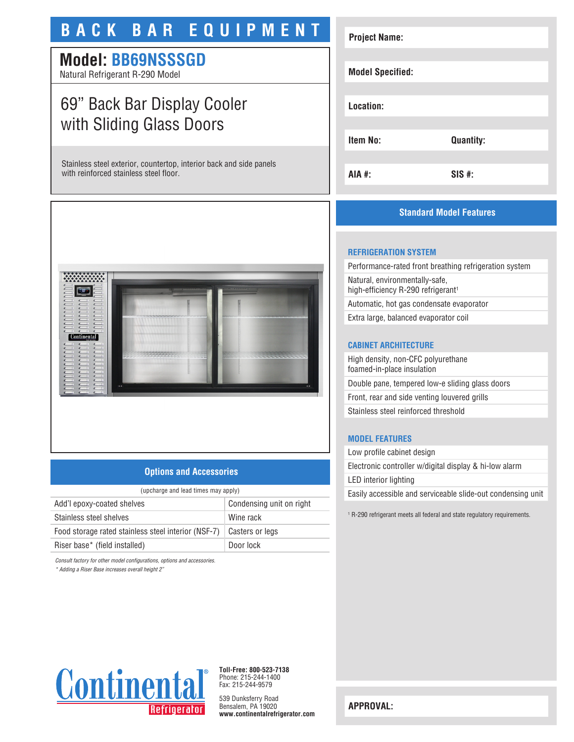# **BACK BAR EQUIPMENT**

# **Model: BB69NSSSGD**

Natural Refrigerant R-290 Model

# 69" Back Bar Display Cooler with Sliding Glass Doors

Stainless steel exterior, countertop, interior back and side panels with reinforced stainless steel floor.



## **Options and Accessories**

| (upcharge and lead times may apply)                 |                          |  |
|-----------------------------------------------------|--------------------------|--|
| Add'l epoxy-coated shelves                          | Condensing unit on right |  |
| Stainless steel shelves                             | Wine rack                |  |
| Food storage rated stainless steel interior (NSF-7) | Casters or legs          |  |
| Riser base* (field installed)                       | Door lock                |  |

*Consult factory for other model configurations, options and accessories.*

*\* Adding a Riser Base increases overall height 2"*

# **Project Name: Model Specified: Location: Item No: Quantity: AIA #: SIS #:**

# **Standard Model Features**

## **REFRIGERATION SYSTEM**

Performance-rated front breathing refrigeration system Natural, environmentally-safe, high-efficiency R-290 refrigerant<sup>1</sup> Automatic, hot gas condensate evaporator

Extra large, balanced evaporator coil

#### **CABINET ARCHITECTURE**

High density, non-CFC polyurethane foamed-in-place insulation Double pane, tempered low-e sliding glass doors Front, rear and side venting louvered grills Stainless steel reinforced threshold

#### **MODEL FEATURES**

Low profile cabinet design Electronic controller w/digital display & hi-low alarm LED interior lighting Easily accessible and serviceable slide-out condensing unit

1 R-290 refrigerant meets all federal and state regulatory requirements.



**Toll-Free: 800-523-7138** Phone: 215-244-1400 Fax: 215-244-9579

539 Dunksferry Road Bensalem, PA 19020 **www.continentalrefrigerator.com** 

**APPROVAL:**